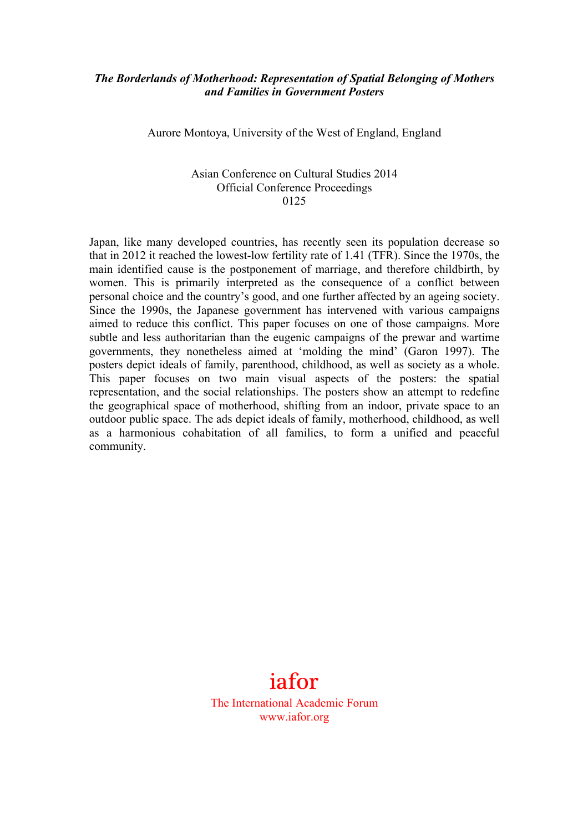### *The Borderlands of Motherhood: Representation of Spatial Belonging of Mothers and Families in Government Posters*

Aurore Montoya, University of the West of England, England

#### Asian Conference on Cultural Studies 2014 Official Conference Proceedings 0125

Japan, like many developed countries, has recently seen its population decrease so that in 2012 it reached the lowest-low fertility rate of 1.41 (TFR). Since the 1970s, the main identified cause is the postponement of marriage, and therefore childbirth, by women. This is primarily interpreted as the consequence of a conflict between personal choice and the country's good, and one further affected by an ageing society. Since the 1990s, the Japanese government has intervened with various campaigns aimed to reduce this conflict. This paper focuses on one of those campaigns. More subtle and less authoritarian than the eugenic campaigns of the prewar and wartime governments, they nonetheless aimed at 'molding the mind' (Garon 1997). The posters depict ideals of family, parenthood, childhood, as well as society as a whole. This paper focuses on two main visual aspects of the posters: the spatial representation, and the social relationships. The posters show an attempt to redefine the geographical space of motherhood, shifting from an indoor, private space to an outdoor public space. The ads depict ideals of family, motherhood, childhood, as well as a harmonious cohabitation of all families, to form a unified and peaceful community.

# iafor The International Academic Forum

www.iafor.org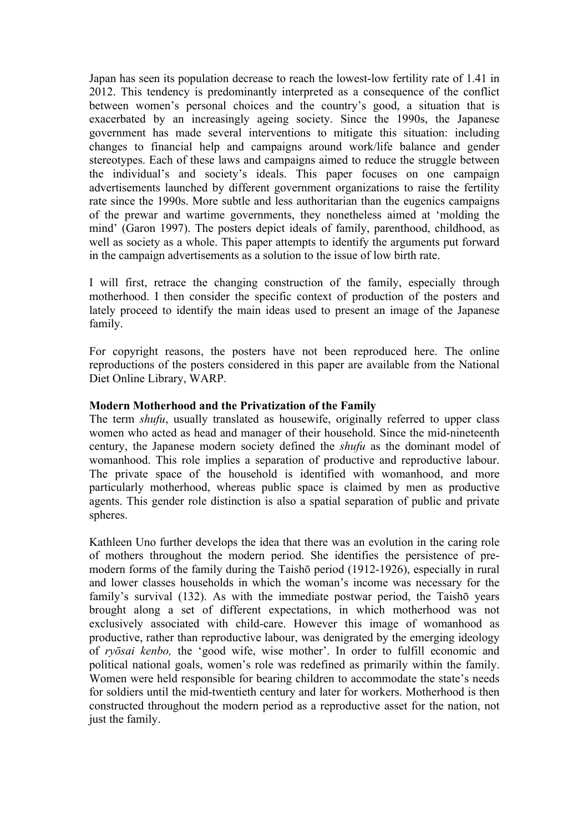Japan has seen its population decrease to reach the lowest-low fertility rate of 1.41 in 2012. This tendency is predominantly interpreted as a consequence of the conflict between women's personal choices and the country's good, a situation that is exacerbated by an increasingly ageing society. Since the 1990s, the Japanese government has made several interventions to mitigate this situation: including changes to financial help and campaigns around work/life balance and gender stereotypes. Each of these laws and campaigns aimed to reduce the struggle between the individual's and society's ideals. This paper focuses on one campaign advertisements launched by different government organizations to raise the fertility rate since the 1990s. More subtle and less authoritarian than the eugenics campaigns of the prewar and wartime governments, they nonetheless aimed at 'molding the mind' (Garon 1997). The posters depict ideals of family, parenthood, childhood, as well as society as a whole. This paper attempts to identify the arguments put forward in the campaign advertisements as a solution to the issue of low birth rate.

I will first, retrace the changing construction of the family, especially through motherhood. I then consider the specific context of production of the posters and lately proceed to identify the main ideas used to present an image of the Japanese family.

For copyright reasons, the posters have not been reproduced here. The online reproductions of the posters considered in this paper are available from the National Diet Online Library, WARP.

#### **Modern Motherhood and the Privatization of the Family**

The term *shufu*, usually translated as housewife, originally referred to upper class women who acted as head and manager of their household. Since the mid-nineteenth century, the Japanese modern society defined the *shufu* as the dominant model of womanhood. This role implies a separation of productive and reproductive labour. The private space of the household is identified with womanhood, and more particularly motherhood, whereas public space is claimed by men as productive agents. This gender role distinction is also a spatial separation of public and private spheres.

Kathleen Uno further develops the idea that there was an evolution in the caring role of mothers throughout the modern period. She identifies the persistence of premodern forms of the family during the Taishō period (1912-1926), especially in rural and lower classes households in which the woman's income was necessary for the family's survival (132). As with the immediate postwar period, the Taishō years brought along a set of different expectations, in which motherhood was not exclusively associated with child-care. However this image of womanhood as productive, rather than reproductive labour, was denigrated by the emerging ideology of *ryōsai kenbo,* the 'good wife, wise mother'. In order to fulfill economic and political national goals, women's role was redefined as primarily within the family. Women were held responsible for bearing children to accommodate the state's needs for soldiers until the mid-twentieth century and later for workers. Motherhood is then constructed throughout the modern period as a reproductive asset for the nation, not just the family.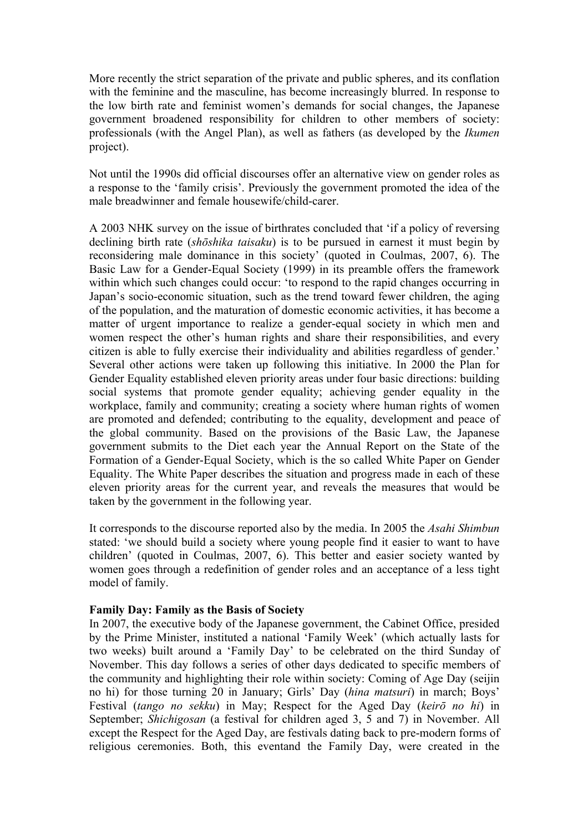More recently the strict separation of the private and public spheres, and its conflation with the feminine and the masculine, has become increasingly blurred. In response to the low birth rate and feminist women's demands for social changes, the Japanese government broadened responsibility for children to other members of society: professionals (with the Angel Plan), as well as fathers (as developed by the *Ikumen* project).

Not until the 1990s did official discourses offer an alternative view on gender roles as a response to the 'family crisis'. Previously the government promoted the idea of the male breadwinner and female housewife/child-carer.

A 2003 NHK survey on the issue of birthrates concluded that 'if a policy of reversing declining birth rate (*shōshika taisaku*) is to be pursued in earnest it must begin by reconsidering male dominance in this society' (quoted in Coulmas, 2007, 6). The Basic Law for a Gender-Equal Society (1999) in its preamble offers the framework within which such changes could occur: 'to respond to the rapid changes occurring in Japan's socio-economic situation, such as the trend toward fewer children, the aging of the population, and the maturation of domestic economic activities, it has become a matter of urgent importance to realize a gender-equal society in which men and women respect the other's human rights and share their responsibilities, and every citizen is able to fully exercise their individuality and abilities regardless of gender.' Several other actions were taken up following this initiative. In 2000 the Plan for Gender Equality established eleven priority areas under four basic directions: building social systems that promote gender equality; achieving gender equality in the workplace, family and community; creating a society where human rights of women are promoted and defended; contributing to the equality, development and peace of the global community. Based on the provisions of the Basic Law, the Japanese government submits to the Diet each year the Annual Report on the State of the Formation of a Gender-Equal Society, which is the so called White Paper on Gender Equality. The White Paper describes the situation and progress made in each of these eleven priority areas for the current year, and reveals the measures that would be taken by the government in the following year.

It corresponds to the discourse reported also by the media. In 2005 the *Asahi Shimbun* stated: 'we should build a society where young people find it easier to want to have children' (quoted in Coulmas, 2007, 6). This better and easier society wanted by women goes through a redefinition of gender roles and an acceptance of a less tight model of family.

#### **Family Day: Family as the Basis of Society**

In 2007, the executive body of the Japanese government, the Cabinet Office, presided by the Prime Minister, instituted a national 'Family Week' (which actually lasts for two weeks) built around a 'Family Day' to be celebrated on the third Sunday of November. This day follows a series of other days dedicated to specific members of the community and highlighting their role within society: Coming of Age Day (seijin no hi) for those turning 20 in January; Girls' Day (*hina matsuri*) in march; Boys' Festival (*tango no sekku*) in May; Respect for the Aged Day (*keirō no hi*) in September; *Shichigosan* (a festival for children aged 3, 5 and 7) in November. All except the Respect for the Aged Day, are festivals dating back to pre-modern forms of religious ceremonies. Both, this eventand the Family Day, were created in the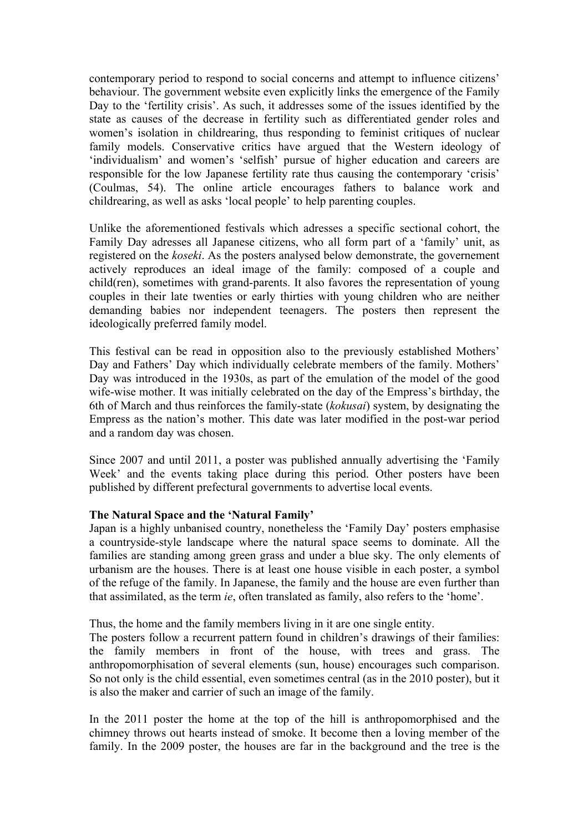contemporary period to respond to social concerns and attempt to influence citizens' behaviour. The government website even explicitly links the emergence of the Family Day to the 'fertility crisis'. As such, it addresses some of the issues identified by the state as causes of the decrease in fertility such as differentiated gender roles and women's isolation in childrearing, thus responding to feminist critiques of nuclear family models. Conservative critics have argued that the Western ideology of 'individualism' and women's 'selfish' pursue of higher education and careers are responsible for the low Japanese fertility rate thus causing the contemporary 'crisis' (Coulmas, 54). The online article encourages fathers to balance work and childrearing, as well as asks 'local people' to help parenting couples.

Unlike the aforementioned festivals which adresses a specific sectional cohort, the Family Day adresses all Japanese citizens, who all form part of a 'family' unit, as registered on the *koseki*. As the posters analysed below demonstrate, the governement actively reproduces an ideal image of the family: composed of a couple and child(ren), sometimes with grand-parents. It also favores the representation of young couples in their late twenties or early thirties with young children who are neither demanding babies nor independent teenagers. The posters then represent the ideologically preferred family model.

This festival can be read in opposition also to the previously established Mothers' Day and Fathers' Day which individually celebrate members of the family. Mothers' Day was introduced in the 1930s, as part of the emulation of the model of the good wife-wise mother. It was initially celebrated on the day of the Empress's birthday, the 6th of March and thus reinforces the family-state (*kokusai*) system, by designating the Empress as the nation's mother. This date was later modified in the post-war period and a random day was chosen.

Since 2007 and until 2011, a poster was published annually advertising the 'Family Week' and the events taking place during this period. Other posters have been published by different prefectural governments to advertise local events.

#### **The Natural Space and the 'Natural Family'**

Japan is a highly unbanised country, nonetheless the 'Family Day' posters emphasise a countryside-style landscape where the natural space seems to dominate. All the families are standing among green grass and under a blue sky. The only elements of urbanism are the houses. There is at least one house visible in each poster, a symbol of the refuge of the family. In Japanese, the family and the house are even further than that assimilated, as the term *ie*, often translated as family, also refers to the 'home'.

Thus, the home and the family members living in it are one single entity.

The posters follow a recurrent pattern found in children's drawings of their families: the family members in front of the house, with trees and grass. The anthropomorphisation of several elements (sun, house) encourages such comparison. So not only is the child essential, even sometimes central (as in the 2010 poster), but it is also the maker and carrier of such an image of the family.

In the 2011 poster the home at the top of the hill is anthropomorphised and the chimney throws out hearts instead of smoke. It become then a loving member of the family. In the 2009 poster, the houses are far in the background and the tree is the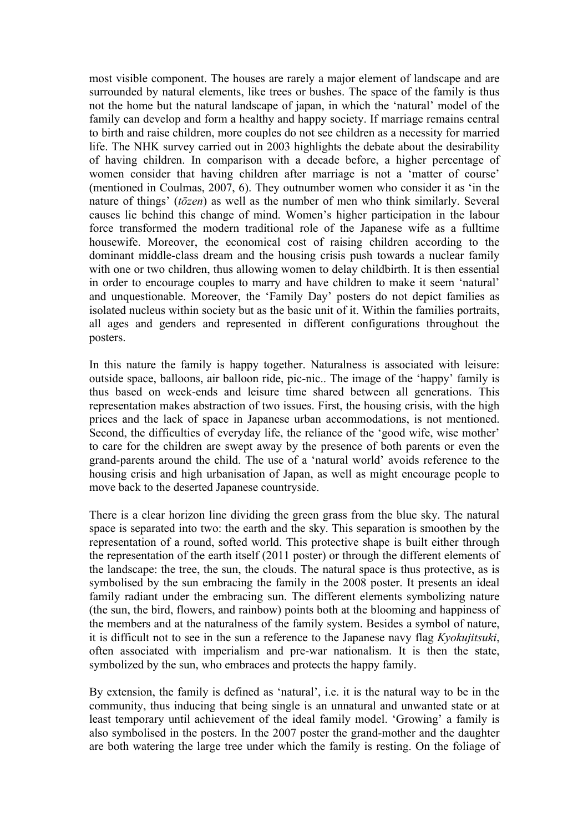most visible component. The houses are rarely a major element of landscape and are surrounded by natural elements, like trees or bushes. The space of the family is thus not the home but the natural landscape of japan, in which the 'natural' model of the family can develop and form a healthy and happy society. If marriage remains central to birth and raise children, more couples do not see children as a necessity for married life. The NHK survey carried out in 2003 highlights the debate about the desirability of having children. In comparison with a decade before, a higher percentage of women consider that having children after marriage is not a 'matter of course' (mentioned in Coulmas, 2007, 6). They outnumber women who consider it as 'in the nature of things' (*tōzen*) as well as the number of men who think similarly. Several causes lie behind this change of mind. Women's higher participation in the labour force transformed the modern traditional role of the Japanese wife as a fulltime housewife. Moreover, the economical cost of raising children according to the dominant middle-class dream and the housing crisis push towards a nuclear family with one or two children, thus allowing women to delay childbirth. It is then essential in order to encourage couples to marry and have children to make it seem 'natural' and unquestionable. Moreover, the 'Family Day' posters do not depict families as isolated nucleus within society but as the basic unit of it. Within the families portraits, all ages and genders and represented in different configurations throughout the posters.

In this nature the family is happy together. Naturalness is associated with leisure: outside space, balloons, air balloon ride, pic-nic.. The image of the 'happy' family is thus based on week-ends and leisure time shared between all generations. This representation makes abstraction of two issues. First, the housing crisis, with the high prices and the lack of space in Japanese urban accommodations, is not mentioned. Second, the difficulties of everyday life, the reliance of the 'good wife, wise mother' to care for the children are swept away by the presence of both parents or even the grand-parents around the child. The use of a 'natural world' avoids reference to the housing crisis and high urbanisation of Japan, as well as might encourage people to move back to the deserted Japanese countryside.

There is a clear horizon line dividing the green grass from the blue sky. The natural space is separated into two: the earth and the sky. This separation is smoothen by the representation of a round, softed world. This protective shape is built either through the representation of the earth itself (2011 poster) or through the different elements of the landscape: the tree, the sun, the clouds. The natural space is thus protective, as is symbolised by the sun embracing the family in the 2008 poster. It presents an ideal family radiant under the embracing sun. The different elements symbolizing nature (the sun, the bird, flowers, and rainbow) points both at the blooming and happiness of the members and at the naturalness of the family system. Besides a symbol of nature, it is difficult not to see in the sun a reference to the Japanese navy flag *Kyokujitsuki*, often associated with imperialism and pre-war nationalism. It is then the state, symbolized by the sun, who embraces and protects the happy family.

By extension, the family is defined as 'natural', i.e. it is the natural way to be in the community, thus inducing that being single is an unnatural and unwanted state or at least temporary until achievement of the ideal family model. 'Growing' a family is also symbolised in the posters. In the 2007 poster the grand-mother and the daughter are both watering the large tree under which the family is resting. On the foliage of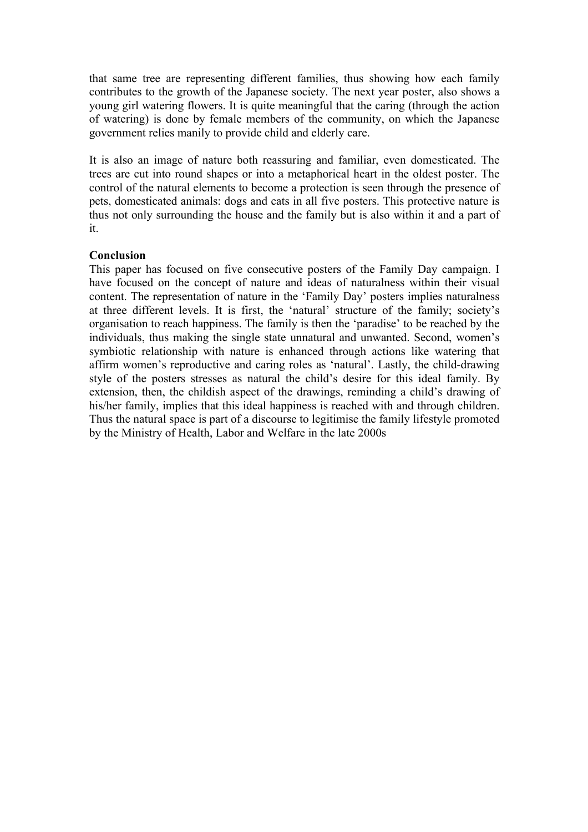that same tree are representing different families, thus showing how each family contributes to the growth of the Japanese society. The next year poster, also shows a young girl watering flowers. It is quite meaningful that the caring (through the action of watering) is done by female members of the community, on which the Japanese government relies manily to provide child and elderly care.

It is also an image of nature both reassuring and familiar, even domesticated. The trees are cut into round shapes or into a metaphorical heart in the oldest poster. The control of the natural elements to become a protection is seen through the presence of pets, domesticated animals: dogs and cats in all five posters. This protective nature is thus not only surrounding the house and the family but is also within it and a part of it.

#### **Conclusion**

This paper has focused on five consecutive posters of the Family Day campaign. I have focused on the concept of nature and ideas of naturalness within their visual content. The representation of nature in the 'Family Day' posters implies naturalness at three different levels. It is first, the 'natural' structure of the family; society's organisation to reach happiness. The family is then the 'paradise' to be reached by the individuals, thus making the single state unnatural and unwanted. Second, women's symbiotic relationship with nature is enhanced through actions like watering that affirm women's reproductive and caring roles as 'natural'. Lastly, the child-drawing style of the posters stresses as natural the child's desire for this ideal family. By extension, then, the childish aspect of the drawings, reminding a child's drawing of his/her family, implies that this ideal happiness is reached with and through children. Thus the natural space is part of a discourse to legitimise the family lifestyle promoted by the Ministry of Health, Labor and Welfare in the late 2000s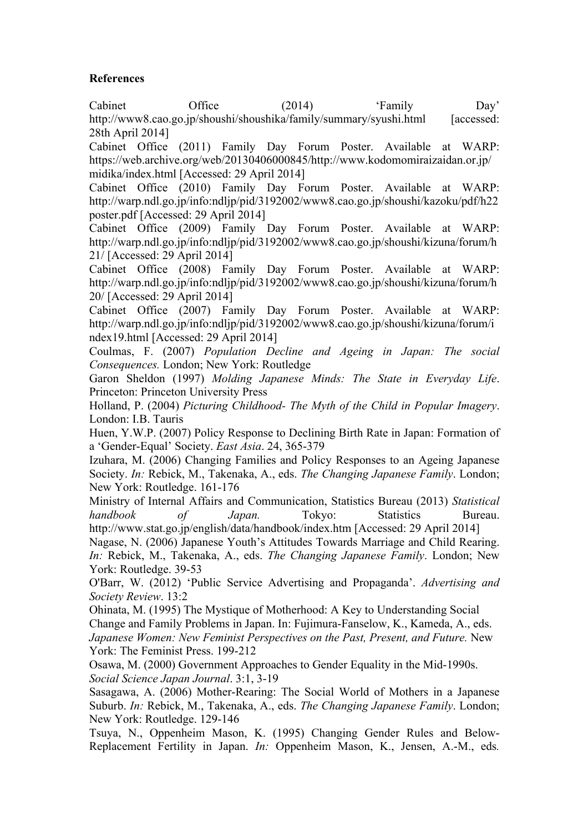## **References**

Cabinet Office (2014) 'Family Day' http://www8.cao.go.jp/shoushi/shoushika/family/summary/syushi.html [accessed: 28th April 2014]

Cabinet Office (2011) Family Day Forum Poster. Available at WARP: https://web.archive.org/web/20130406000845/http://www.kodomomiraizaidan.or.jp/ midika/index.html [Accessed: 29 April 2014]

Cabinet Office (2010) Family Day Forum Poster. Available at WARP: http://warp.ndl.go.jp/info:ndljp/pid/3192002/www8.cao.go.jp/shoushi/kazoku/pdf/h22 poster.pdf [Accessed: 29 April 2014]

Cabinet Office (2009) Family Day Forum Poster. Available at WARP: http://warp.ndl.go.jp/info:ndljp/pid/3192002/www8.cao.go.jp/shoushi/kizuna/forum/h 21/ [Accessed: 29 April 2014]

Cabinet Office (2008) Family Day Forum Poster. Available at WARP: http://warp.ndl.go.jp/info:ndljp/pid/3192002/www8.cao.go.jp/shoushi/kizuna/forum/h 20/ [Accessed: 29 April 2014]

Cabinet Office (2007) Family Day Forum Poster. Available at WARP: http://warp.ndl.go.jp/info:ndljp/pid/3192002/www8.cao.go.jp/shoushi/kizuna/forum/i ndex19.html [Accessed: 29 April 2014]

Coulmas, F. (2007) *Population Decline and Ageing in Japan: The social Consequences.* London; New York: Routledge

Garon Sheldon (1997) *Molding Japanese Minds: The State in Everyday Life*. Princeton: Princeton University Press

Holland, P. (2004) *Picturing Childhood- The Myth of the Child in Popular Imagery*. London: I.B. Tauris

Huen, Y.W.P. (2007) Policy Response to Declining Birth Rate in Japan: Formation of a 'Gender-Equal' Society. *East Asia*. 24, 365-379

Izuhara, M. (2006) Changing Families and Policy Responses to an Ageing Japanese Society. *In:* Rebick, M., Takenaka, A., eds. *The Changing Japanese Family*. London; New York: Routledge. 161-176

Ministry of Internal Affairs and Communication, Statistics Bureau (2013) *Statistical handbook of Japan.* Tokyo: Statistics Bureau. http://www.stat.go.jp/english/data/handbook/index.htm [Accessed: 29 April 2014]

Nagase, N. (2006) Japanese Youth's Attitudes Towards Marriage and Child Rearing. *In:* Rebick, M., Takenaka, A., eds. *The Changing Japanese Family*. London; New York: Routledge. 39-53

O'Barr, W. (2012) 'Public Service Advertising and Propaganda'. *Advertising and Society Review*. 13:2

Ohinata, M. (1995) The Mystique of Motherhood: A Key to Understanding Social Change and Family Problems in Japan. In: Fujimura-Fanselow, K., Kameda, A., eds. *Japanese Women: New Feminist Perspectives on the Past, Present, and Future.* New York: The Feminist Press. 199-212

Osawa, M. (2000) Government Approaches to Gender Equality in the Mid-1990s. *Social Science Japan Journal*. 3:1, 3-19

Sasagawa, A. (2006) Mother-Rearing: The Social World of Mothers in a Japanese Suburb. *In:* Rebick, M., Takenaka, A., eds. *The Changing Japanese Family*. London; New York: Routledge. 129-146

Tsuya, N., Oppenheim Mason, K. (1995) Changing Gender Rules and Below-Replacement Fertility in Japan. *In:* Oppenheim Mason, K., Jensen, A.-M., eds*.*